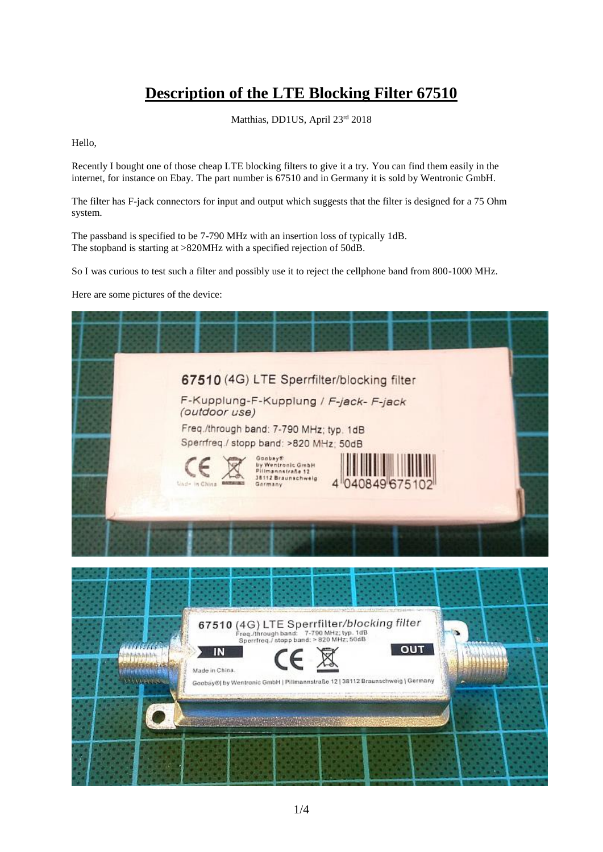## **Description of the LTE Blocking Filter 67510**

Matthias, DD1US, April 23rd 2018

Hello,

Recently I bought one of those cheap LTE blocking filters to give it a try. You can find them easily in the internet, for instance on Ebay. The part number is 67510 and in Germany it is sold by Wentronic GmbH.

The filter has F-jack connectors for input and output which suggests that the filter is designed for a 75 Ohm system.

The passband is specified to be 7-790 MHz with an insertion loss of typically 1dB. The stopband is starting at >820MHz with a specified rejection of 50dB.

So I was curious to test such a filter and possibly use it to reject the cellphone band from 800-1000 MHz.

Here are some pictures of the device:

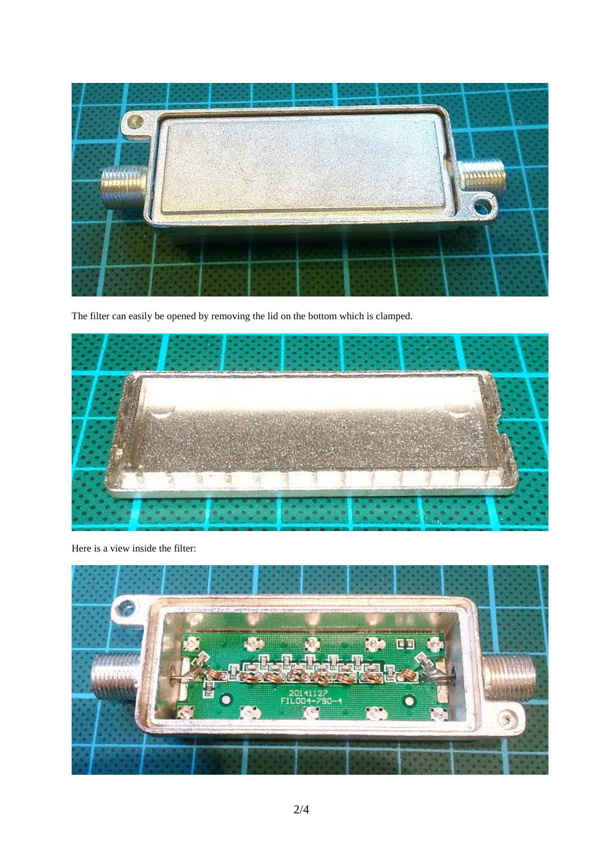

The filter can easily be opened by removing the lid on the bottom which is clamped.



Here is a view inside the filter:

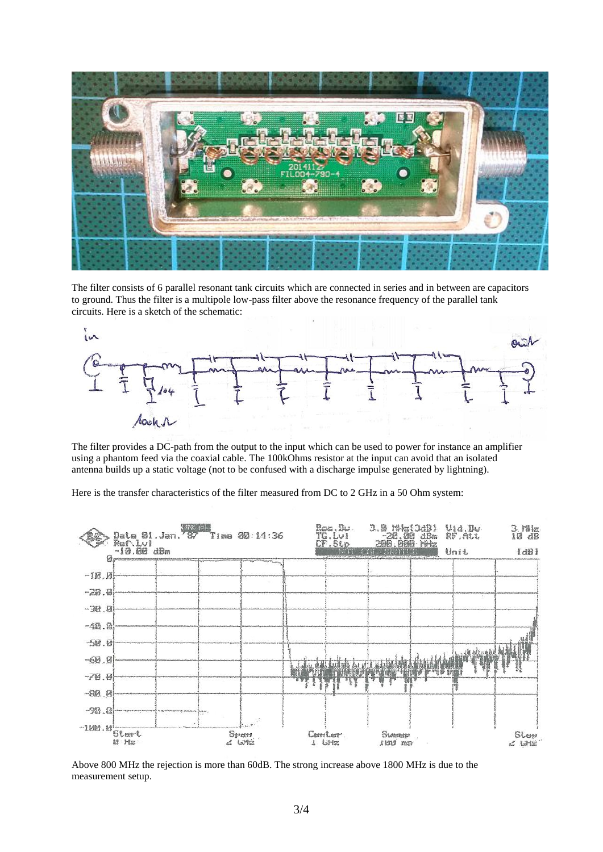

The filter consists of 6 parallel resonant tank circuits which are connected in series and in between are capacitors to ground. Thus the filter is a multipole low-pass filter above the resonance frequency of the parallel tank circuits. Here is a sketch of the schematic:



The filter provides a DC-path from the output to the input which can be used to power for instance an amplifier using a phantom feed via the coaxial cable. The 100kOhms resistor at the input can avoid that an isolated antenna builds up a static voltage (not to be confused with a discharge impulse generated by lightning).

Here is the transfer characteristics of the filter measured from DC to 2 GHz in a 50 Ohm system:



Above 800 MHz the rejection is more than 60dB. The strong increase above 1800 MHz is due to the measurement setup.